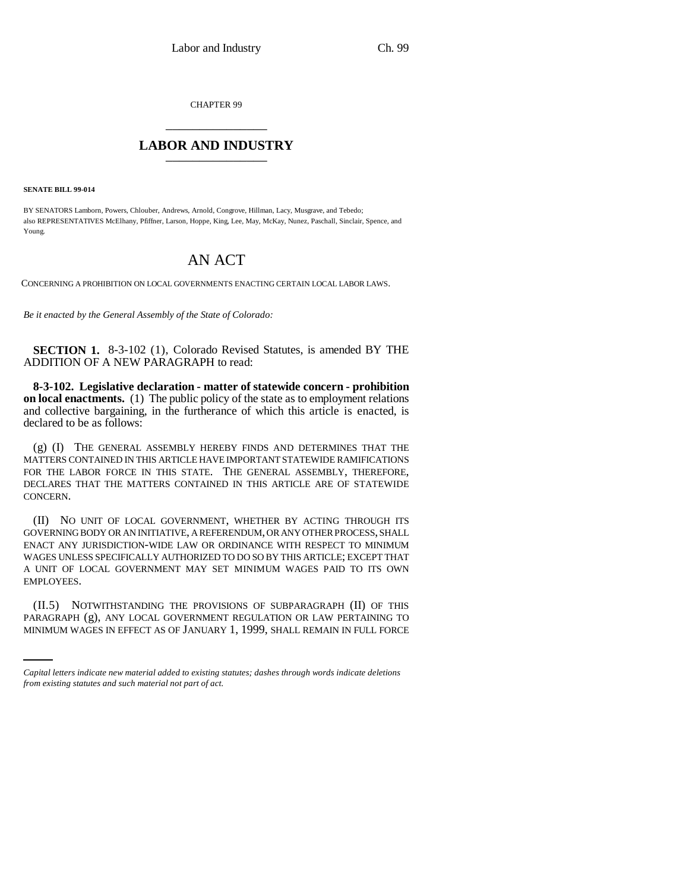CHAPTER 99 \_\_\_\_\_\_\_\_\_\_\_\_\_\_\_

## **LABOR AND INDUSTRY** \_\_\_\_\_\_\_\_\_\_\_\_\_\_\_

**SENATE BILL 99-014** 

BY SENATORS Lamborn, Powers, Chlouber, Andrews, Arnold, Congrove, Hillman, Lacy, Musgrave, and Tebedo; also REPRESENTATIVES McElhany, Pfiffner, Larson, Hoppe, King, Lee, May, McKay, Nunez, Paschall, Sinclair, Spence, and Young.

## AN ACT

CONCERNING A PROHIBITION ON LOCAL GOVERNMENTS ENACTING CERTAIN LOCAL LABOR LAWS.

*Be it enacted by the General Assembly of the State of Colorado:*

**SECTION 1.** 8-3-102 (1), Colorado Revised Statutes, is amended BY THE ADDITION OF A NEW PARAGRAPH to read:

**8-3-102. Legislative declaration - matter of statewide concern - prohibition on local enactments.** (1) The public policy of the state as to employment relations and collective bargaining, in the furtherance of which this article is enacted, is declared to be as follows:

(g) (I) THE GENERAL ASSEMBLY HEREBY FINDS AND DETERMINES THAT THE MATTERS CONTAINED IN THIS ARTICLE HAVE IMPORTANT STATEWIDE RAMIFICATIONS FOR THE LABOR FORCE IN THIS STATE. THE GENERAL ASSEMBLY, THEREFORE, DECLARES THAT THE MATTERS CONTAINED IN THIS ARTICLE ARE OF STATEWIDE CONCERN.

(II) NO UNIT OF LOCAL GOVERNMENT, WHETHER BY ACTING THROUGH ITS GOVERNING BODY OR AN INITIATIVE, A REFERENDUM, OR ANY OTHER PROCESS, SHALL ENACT ANY JURISDICTION-WIDE LAW OR ORDINANCE WITH RESPECT TO MINIMUM WAGES UNLESS SPECIFICALLY AUTHORIZED TO DO SO BY THIS ARTICLE; EXCEPT THAT A UNIT OF LOCAL GOVERNMENT MAY SET MINIMUM WAGES PAID TO ITS OWN EMPLOYEES.

(II.5) NOTWITHSTANDING THE PROVISIONS OF SUBPARAGRAPH (II) OF THIS PARAGRAPH (g), ANY LOCAL GOVERNMENT REGULATION OR LAW PERTAINING TO MINIMUM WAGES IN EFFECT AS OF JANUARY 1, 1999, SHALL REMAIN IN FULL FORCE

*Capital letters indicate new material added to existing statutes; dashes through words indicate deletions from existing statutes and such material not part of act.*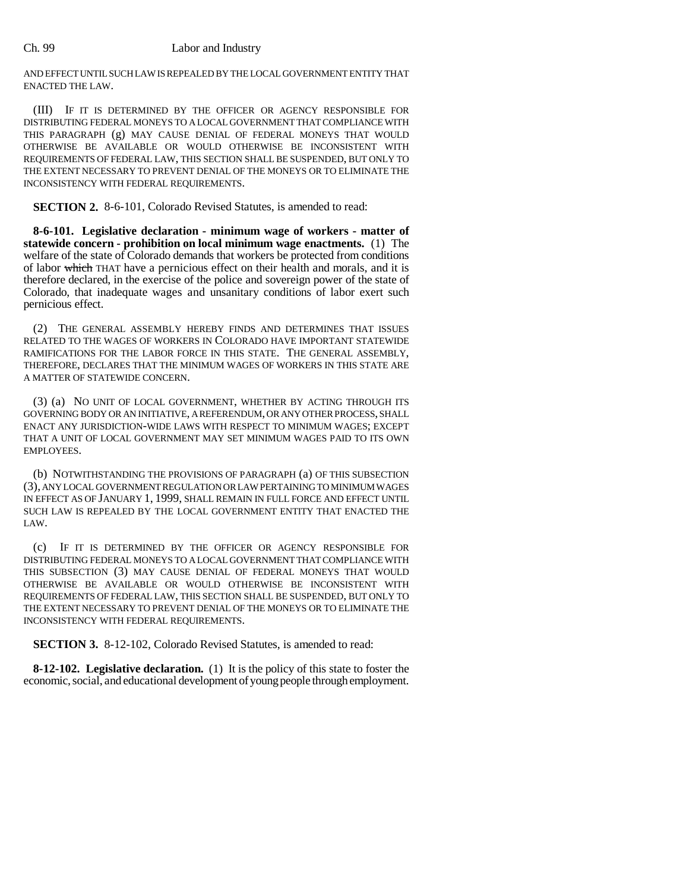AND EFFECT UNTIL SUCH LAW IS REPEALED BY THE LOCAL GOVERNMENT ENTITY THAT ENACTED THE LAW.

(III) IF IT IS DETERMINED BY THE OFFICER OR AGENCY RESPONSIBLE FOR DISTRIBUTING FEDERAL MONEYS TO A LOCAL GOVERNMENT THAT COMPLIANCE WITH THIS PARAGRAPH (g) MAY CAUSE DENIAL OF FEDERAL MONEYS THAT WOULD OTHERWISE BE AVAILABLE OR WOULD OTHERWISE BE INCONSISTENT WITH REQUIREMENTS OF FEDERAL LAW, THIS SECTION SHALL BE SUSPENDED, BUT ONLY TO THE EXTENT NECESSARY TO PREVENT DENIAL OF THE MONEYS OR TO ELIMINATE THE INCONSISTENCY WITH FEDERAL REQUIREMENTS.

**SECTION 2.** 8-6-101, Colorado Revised Statutes, is amended to read:

**8-6-101. Legislative declaration - minimum wage of workers - matter of statewide concern - prohibition on local minimum wage enactments.** (1) The welfare of the state of Colorado demands that workers be protected from conditions of labor which THAT have a pernicious effect on their health and morals, and it is therefore declared, in the exercise of the police and sovereign power of the state of Colorado, that inadequate wages and unsanitary conditions of labor exert such pernicious effect.

(2) THE GENERAL ASSEMBLY HEREBY FINDS AND DETERMINES THAT ISSUES RELATED TO THE WAGES OF WORKERS IN COLORADO HAVE IMPORTANT STATEWIDE RAMIFICATIONS FOR THE LABOR FORCE IN THIS STATE. THE GENERAL ASSEMBLY, THEREFORE, DECLARES THAT THE MINIMUM WAGES OF WORKERS IN THIS STATE ARE A MATTER OF STATEWIDE CONCERN.

(3) (a) NO UNIT OF LOCAL GOVERNMENT, WHETHER BY ACTING THROUGH ITS GOVERNING BODY OR AN INITIATIVE, A REFERENDUM, OR ANY OTHER PROCESS, SHALL ENACT ANY JURISDICTION-WIDE LAWS WITH RESPECT TO MINIMUM WAGES; EXCEPT THAT A UNIT OF LOCAL GOVERNMENT MAY SET MINIMUM WAGES PAID TO ITS OWN EMPLOYEES.

(b) NOTWITHSTANDING THE PROVISIONS OF PARAGRAPH (a) OF THIS SUBSECTION (3), ANY LOCAL GOVERNMENT REGULATION OR LAW PERTAINING TO MINIMUM WAGES IN EFFECT AS OF JANUARY 1, 1999, SHALL REMAIN IN FULL FORCE AND EFFECT UNTIL SUCH LAW IS REPEALED BY THE LOCAL GOVERNMENT ENTITY THAT ENACTED THE LAW.

(c) IF IT IS DETERMINED BY THE OFFICER OR AGENCY RESPONSIBLE FOR DISTRIBUTING FEDERAL MONEYS TO A LOCAL GOVERNMENT THAT COMPLIANCE WITH THIS SUBSECTION (3) MAY CAUSE DENIAL OF FEDERAL MONEYS THAT WOULD OTHERWISE BE AVAILABLE OR WOULD OTHERWISE BE INCONSISTENT WITH REQUIREMENTS OF FEDERAL LAW, THIS SECTION SHALL BE SUSPENDED, BUT ONLY TO THE EXTENT NECESSARY TO PREVENT DENIAL OF THE MONEYS OR TO ELIMINATE THE INCONSISTENCY WITH FEDERAL REQUIREMENTS.

**SECTION 3.** 8-12-102, Colorado Revised Statutes, is amended to read:

**8-12-102. Legislative declaration.** (1) It is the policy of this state to foster the economic, social, and educational development of young people through employment.